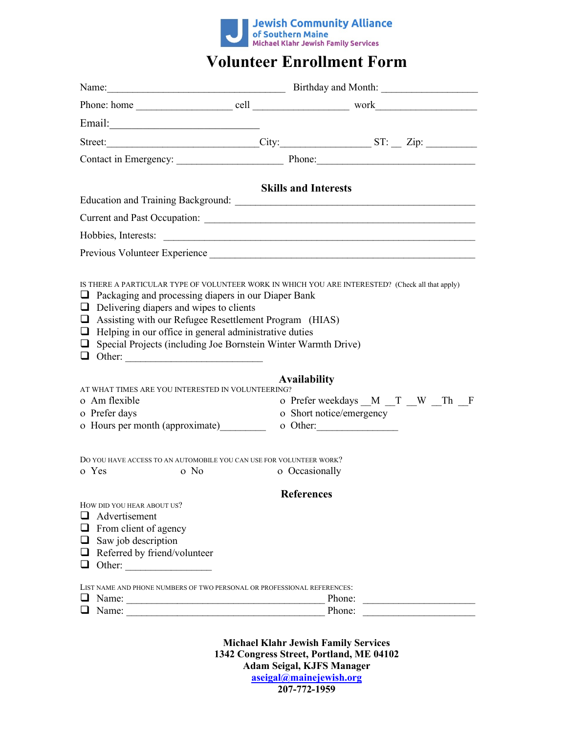

# **Volunteer Enrollment Form**

|                                                                                                                                                                                                                                                                            | Name: <u>Name:</u> Birthday and Month: |  |                                        |  |  |  |
|----------------------------------------------------------------------------------------------------------------------------------------------------------------------------------------------------------------------------------------------------------------------------|----------------------------------------|--|----------------------------------------|--|--|--|
|                                                                                                                                                                                                                                                                            |                                        |  |                                        |  |  |  |
|                                                                                                                                                                                                                                                                            |                                        |  |                                        |  |  |  |
|                                                                                                                                                                                                                                                                            |                                        |  |                                        |  |  |  |
|                                                                                                                                                                                                                                                                            |                                        |  |                                        |  |  |  |
| <b>Skills and Interests</b>                                                                                                                                                                                                                                                |                                        |  |                                        |  |  |  |
|                                                                                                                                                                                                                                                                            |                                        |  |                                        |  |  |  |
|                                                                                                                                                                                                                                                                            |                                        |  |                                        |  |  |  |
|                                                                                                                                                                                                                                                                            |                                        |  |                                        |  |  |  |
| Previous Volunteer Experience                                                                                                                                                                                                                                              |                                        |  |                                        |  |  |  |
| $\Box$ Delivering diapers and wipes to clients<br>$\Box$ Assisting with our Refugee Resettlement Program (HIAS)<br>$\Box$ Helping in our office in general administrative duties<br>$\Box$ Special Projects (including Joe Bornstein Winter Warmth Drive)<br>$\Box$ Other: | <b>Availability</b>                    |  |                                        |  |  |  |
| AT WHAT TIMES ARE YOU INTERESTED IN VOLUNTEERING?                                                                                                                                                                                                                          |                                        |  |                                        |  |  |  |
| o Am flexible<br>o Prefer days                                                                                                                                                                                                                                             | o Short notice/emergency               |  | o Prefer weekdays __M __T __W __Th __F |  |  |  |
| o Hours per month (approximate)                                                                                                                                                                                                                                            |                                        |  |                                        |  |  |  |
| DO YOU HAVE ACCESS TO AN AUTOMOBILE YOU CAN USE FOR VOLUNTEER WORK?<br>o Yes<br>$\Omega$ No                                                                                                                                                                                | o Occasionally                         |  |                                        |  |  |  |
|                                                                                                                                                                                                                                                                            | <b>References</b>                      |  |                                        |  |  |  |
| HOW DID YOU HEAR ABOUT US?<br>$\Box$ Advertisement<br>$\Box$ From client of agency<br>$\Box$ Saw job description<br>$\Box$ Referred by friend/volunteer                                                                                                                    |                                        |  |                                        |  |  |  |
| LIST NAME AND PHONE NUMBERS OF TWO PERSONAL OR PROFESSIONAL REFERENCES:<br>$\Box$                                                                                                                                                                                          | Phone:                                 |  |                                        |  |  |  |
|                                                                                                                                                                                                                                                                            | Phone:                                 |  |                                        |  |  |  |

**Michael Klahr Jewish Family Services 1342 Congress Street, Portland, ME 04102 Adam Seigal, KJFS Manager [aseigal@mainejewish.org](mailto:aseigal@mainejewish.org) 207-772-1959**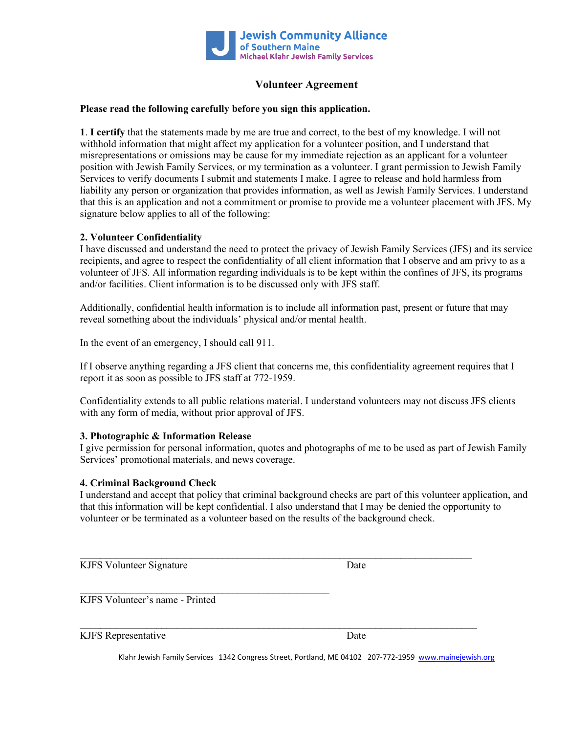

## **Volunteer Agreement**

### **Please read the following carefully before you sign this application.**

**1**. **I certify** that the statements made by me are true and correct, to the best of my knowledge. I will not withhold information that might affect my application for a volunteer position, and I understand that misrepresentations or omissions may be cause for my immediate rejection as an applicant for a volunteer position with Jewish Family Services, or my termination as a volunteer. I grant permission to Jewish Family Services to verify documents I submit and statements I make. I agree to release and hold harmless from liability any person or organization that provides information, as well as Jewish Family Services. I understand that this is an application and not a commitment or promise to provide me a volunteer placement with JFS. My signature below applies to all of the following:

## **2. Volunteer Confidentiality**

I have discussed and understand the need to protect the privacy of Jewish Family Services (JFS) and its service recipients, and agree to respect the confidentiality of all client information that I observe and am privy to as a volunteer of JFS. All information regarding individuals is to be kept within the confines of JFS, its programs and/or facilities. Client information is to be discussed only with JFS staff.

Additionally, confidential health information is to include all information past, present or future that may reveal something about the individuals' physical and/or mental health.

In the event of an emergency, I should call 911.

If I observe anything regarding a JFS client that concerns me, this confidentiality agreement requires that I report it as soon as possible to JFS staff at 772-1959.

Confidentiality extends to all public relations material. I understand volunteers may not discuss JFS clients with any form of media, without prior approval of JFS.

#### **3. Photographic & Information Release**

I give permission for personal information, quotes and photographs of me to be used as part of Jewish Family Services' promotional materials, and news coverage.

#### **4. Criminal Background Check**

I understand and accept that policy that criminal background checks are part of this volunteer application, and that this information will be kept confidential. I also understand that I may be denied the opportunity to volunteer or be terminated as a volunteer based on the results of the background check.

 $\mathcal{L}_\text{max}$  , and the contribution of the contribution of the contribution of the contribution of the contribution of the contribution of the contribution of the contribution of the contribution of the contribution of t

\_\_\_\_\_\_\_\_\_\_\_\_\_\_\_\_\_\_\_\_\_\_\_\_\_\_\_\_\_\_\_\_\_\_\_\_\_\_\_\_\_\_\_\_\_\_\_\_\_\_\_\_\_\_\_\_\_\_\_\_\_\_\_\_\_\_\_\_\_\_\_\_\_\_\_\_\_\_

KJFS Volunteer Signature Date

KJFS Volunteer's name - Printed

 $\mathcal{L}_\text{max}$  , and the contract of the contract of the contract of the contract of the contract of the contract of the contract of the contract of the contract of the contract of the contract of the contract of the contr

KJFS Representative Date

Klahr Jewish Family Services 1342 Congress Street, Portland, ME 04102 207-772-1959 [www.mainejewish.org](http://www.mainejewish.org/)